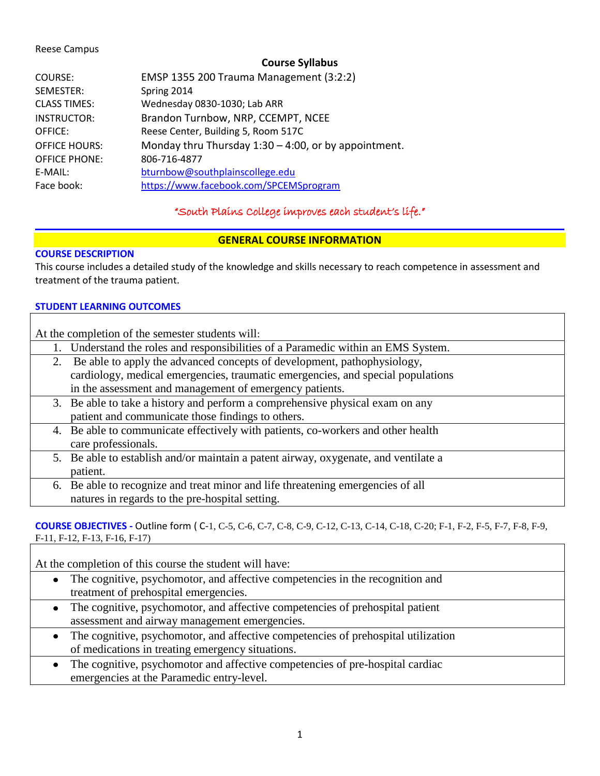#### Reese Campus

### **Course Syllabus**

| COURSE:              | EMSP 1355 200 Trauma Management (3:2:2)                 |
|----------------------|---------------------------------------------------------|
| SEMESTER:            | Spring 2014                                             |
| <b>CLASS TIMES:</b>  | Wednesday 0830-1030; Lab ARR                            |
| <b>INSTRUCTOR:</b>   | Brandon Turnbow, NRP, CCEMPT, NCEE                      |
| <b>OFFICE:</b>       | Reese Center, Building 5, Room 517C                     |
| <b>OFFICE HOURS:</b> | Monday thru Thursday $1:30 - 4:00$ , or by appointment. |
| <b>OFFICE PHONE:</b> | 806-716-4877                                            |
| E-MAIL:              | bturnbow@southplainscollege.edu                         |
| Face book:           | https://www.facebook.com/SPCEMSprogram                  |

"South Plains College improves each student's life."

## **GENERAL COURSE INFORMATION**

#### **COURSE DESCRIPTION**

This course includes a detailed study of the knowledge and skills necessary to reach competence in assessment and treatment of the trauma patient.

#### **STUDENT LEARNING OUTCOMES**

|    | At the completion of the semester students will:                                    |
|----|-------------------------------------------------------------------------------------|
|    | 1. Understand the roles and responsibilities of a Paramedic within an EMS System.   |
| 2. | Be able to apply the advanced concepts of development, pathophysiology,             |
|    | cardiology, medical emergencies, traumatic emergencies, and special populations     |
|    | in the assessment and management of emergency patients.                             |
|    | 3. Be able to take a history and perform a comprehensive physical exam on any       |
|    | patient and communicate those findings to others.                                   |
|    | 4. Be able to communicate effectively with patients, co-workers and other health    |
|    | care professionals.                                                                 |
|    | 5. Be able to establish and/or maintain a patent airway, oxygenate, and ventilate a |
|    | patient.                                                                            |
|    | 6. Be able to recognize and treat minor and life threatening emergencies of all     |
|    | natures in regards to the pre-hospital setting.                                     |

#### **COURSE OBJECTIVES -** Outline form ( C-1, C-5, C-6, C-7, C-8, C-9, C-12, C-13, C-14, C-18, C-20; F-1, F-2, F-5, F-7, F-8, F-9, F-11, F-12, F-13, F-16, F-17)

At the completion of this course the student will have:

- The cognitive, psychomotor, and affective competencies in the recognition and  $\bullet$ treatment of prehospital emergencies.
- The cognitive, psychomotor, and affective competencies of prehospital patient assessment and airway management emergencies.
- The cognitive, psychomotor, and affective competencies of prehospital utilization  $\bullet$ of medications in treating emergency situations.
- The cognitive, psychomotor and affective competencies of pre-hospital cardiac  $\bullet$ emergencies at the Paramedic entry-level.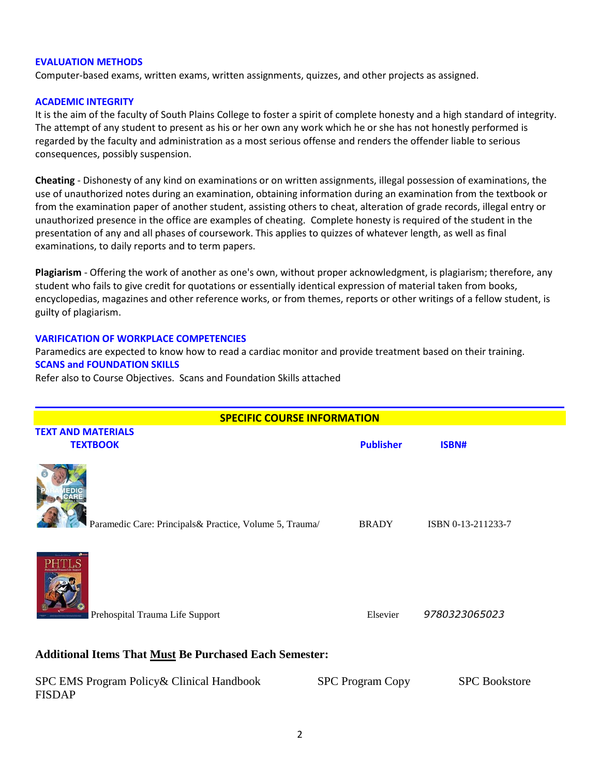#### **EVALUATION METHODS**

Computer-based exams, written exams, written assignments, quizzes, and other projects as assigned.

#### **ACADEMIC INTEGRITY**

It is the aim of the faculty of South Plains College to foster a spirit of complete honesty and a high standard of integrity. The attempt of any student to present as his or her own any work which he or she has not honestly performed is regarded by the faculty and administration as a most serious offense and renders the offender liable to serious consequences, possibly suspension.

**Cheating** - Dishonesty of any kind on examinations or on written assignments, illegal possession of examinations, the use of unauthorized notes during an examination, obtaining information during an examination from the textbook or from the examination paper of another student, assisting others to cheat, alteration of grade records, illegal entry or unauthorized presence in the office are examples of cheating. Complete honesty is required of the student in the presentation of any and all phases of coursework. This applies to quizzes of whatever length, as well as final examinations, to daily reports and to term papers.

**Plagiarism** - Offering the work of another as one's own, without proper acknowledgment, is plagiarism; therefore, any student who fails to give credit for quotations or essentially identical expression of material taken from books, encyclopedias, magazines and other reference works, or from themes, reports or other writings of a fellow student, is guilty of plagiarism.

#### **VARIFICATION OF WORKPLACE COMPETENCIES**

Paramedics are expected to know how to read a cardiac monitor and provide treatment based on their training. **SCANS and FOUNDATION SKILLS**

Refer also to Course Objectives. Scans and Foundation Skills attached

| <b>SPECIFIC COURSE INFORMATION</b>                            |                         |                      |  |  |  |  |
|---------------------------------------------------------------|-------------------------|----------------------|--|--|--|--|
| <b>TEXT AND MATERIALS</b><br><b>TEXTBOOK</b>                  | <b>Publisher</b>        | ISBN#                |  |  |  |  |
| Paramedic Care: Principals& Practice, Volume 5, Trauma/       | <b>BRADY</b>            | ISBN 0-13-211233-7   |  |  |  |  |
| Prehospital Trauma Life Support                               | Elsevier                | 9780323065023        |  |  |  |  |
| <b>Additional Items That Must Be Purchased Each Semester:</b> |                         |                      |  |  |  |  |
| SPC EMS Program Policy & Clinical Handbook<br><b>FISDAP</b>   | <b>SPC Program Copy</b> | <b>SPC</b> Bookstore |  |  |  |  |
|                                                               |                         |                      |  |  |  |  |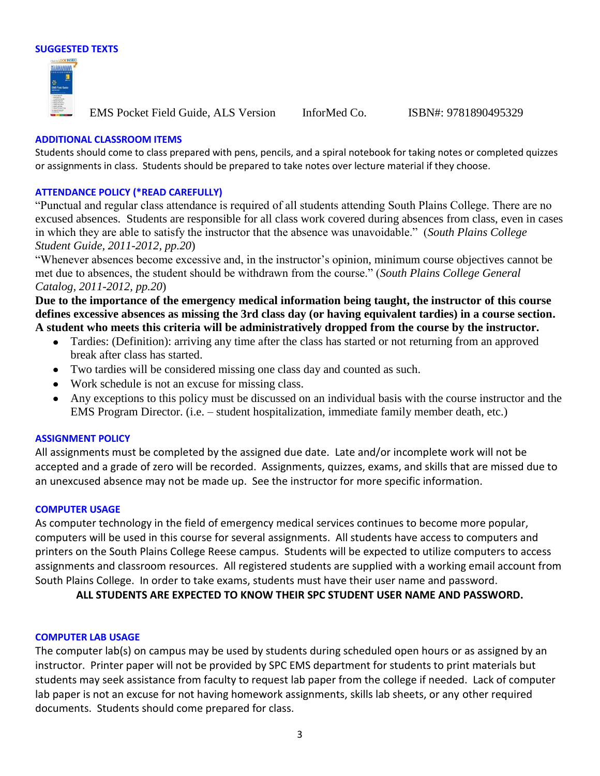



EMS Pocket Field Guide, ALS Version InforMed Co. ISBN#: 9781890495329

#### **ADDITIONAL CLASSROOM ITEMS**

Students should come to class prepared with pens, pencils, and a spiral notebook for taking notes or completed quizzes or assignments in class. Students should be prepared to take notes over lecture material if they choose.

#### **ATTENDANCE POLICY (\*READ CAREFULLY)**

"Punctual and regular class attendance is required of all students attending South Plains College. There are no excused absences. Students are responsible for all class work covered during absences from class, even in cases in which they are able to satisfy the instructor that the absence was unavoidable." (*South Plains College Student Guide, 2011-2012, pp.20*)

"Whenever absences become excessive and, in the instructor's opinion, minimum course objectives cannot be met due to absences, the student should be withdrawn from the course." (*South Plains College General Catalog, 2011-2012, pp.20*)

**Due to the importance of the emergency medical information being taught, the instructor of this course defines excessive absences as missing the 3rd class day (or having equivalent tardies) in a course section. A student who meets this criteria will be administratively dropped from the course by the instructor.** 

- Tardies: (Definition): arriving any time after the class has started or not returning from an approved break after class has started.
- Two tardies will be considered missing one class day and counted as such.
- Work schedule is not an excuse for missing class.
- Any exceptions to this policy must be discussed on an individual basis with the course instructor and the EMS Program Director. (i.e. – student hospitalization, immediate family member death, etc.)

#### **ASSIGNMENT POLICY**

All assignments must be completed by the assigned due date. Late and/or incomplete work will not be accepted and a grade of zero will be recorded. Assignments, quizzes, exams, and skills that are missed due to an unexcused absence may not be made up. See the instructor for more specific information.

#### **COMPUTER USAGE**

As computer technology in the field of emergency medical services continues to become more popular, computers will be used in this course for several assignments. All students have access to computers and printers on the South Plains College Reese campus. Students will be expected to utilize computers to access assignments and classroom resources. All registered students are supplied with a working email account from South Plains College. In order to take exams, students must have their user name and password.

**ALL STUDENTS ARE EXPECTED TO KNOW THEIR SPC STUDENT USER NAME AND PASSWORD.**

#### **COMPUTER LAB USAGE**

The computer lab(s) on campus may be used by students during scheduled open hours or as assigned by an instructor. Printer paper will not be provided by SPC EMS department for students to print materials but students may seek assistance from faculty to request lab paper from the college if needed. Lack of computer lab paper is not an excuse for not having homework assignments, skills lab sheets, or any other required documents. Students should come prepared for class.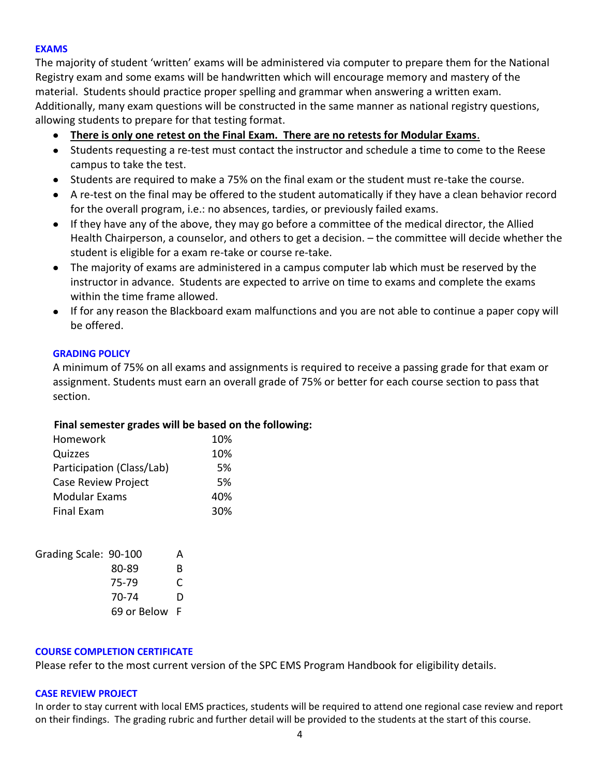## **EXAMS**

The majority of student 'written' exams will be administered via computer to prepare them for the National Registry exam and some exams will be handwritten which will encourage memory and mastery of the material. Students should practice proper spelling and grammar when answering a written exam. Additionally, many exam questions will be constructed in the same manner as national registry questions, allowing students to prepare for that testing format.

- **There is only one retest on the Final Exam. There are no retests for Modular Exams**.
- Students requesting a re-test must contact the instructor and schedule a time to come to the Reese campus to take the test.
- Students are required to make a 75% on the final exam or the student must re-take the course.
- A re-test on the final may be offered to the student automatically if they have a clean behavior record for the overall program, i.e.: no absences, tardies, or previously failed exams.
- If they have any of the above, they may go before a committee of the medical director, the Allied Health Chairperson, a counselor, and others to get a decision. – the committee will decide whether the student is eligible for a exam re-take or course re-take.
- The majority of exams are administered in a campus computer lab which must be reserved by the  $\bullet$ instructor in advance. Students are expected to arrive on time to exams and complete the exams within the time frame allowed.
- If for any reason the Blackboard exam malfunctions and you are not able to continue a paper copy will be offered.

## **GRADING POLICY**

A minimum of 75% on all exams and assignments is required to receive a passing grade for that exam or assignment. Students must earn an overall grade of 75% or better for each course section to pass that section.

## **Final semester grades will be based on the following:**

| Homework                   | 10% |
|----------------------------|-----|
| Quizzes                    | 10% |
| Participation (Class/Lab)  | .5% |
| <b>Case Review Project</b> | 5%  |
| <b>Modular Exams</b>       | 40% |
| <b>Final Exam</b>          | 30% |

| Grading Scale: 90-100 | А  |
|-----------------------|----|
| 80-89                 | B  |
| 75-79                 | C  |
| 70-74                 | D  |
| 69 or Below           | -F |

#### **COURSE COMPLETION CERTIFICATE**

Please refer to the most current version of the SPC EMS Program Handbook for eligibility details.

#### **CASE REVIEW PROJECT**

In order to stay current with local EMS practices, students will be required to attend one regional case review and report on their findings. The grading rubric and further detail will be provided to the students at the start of this course.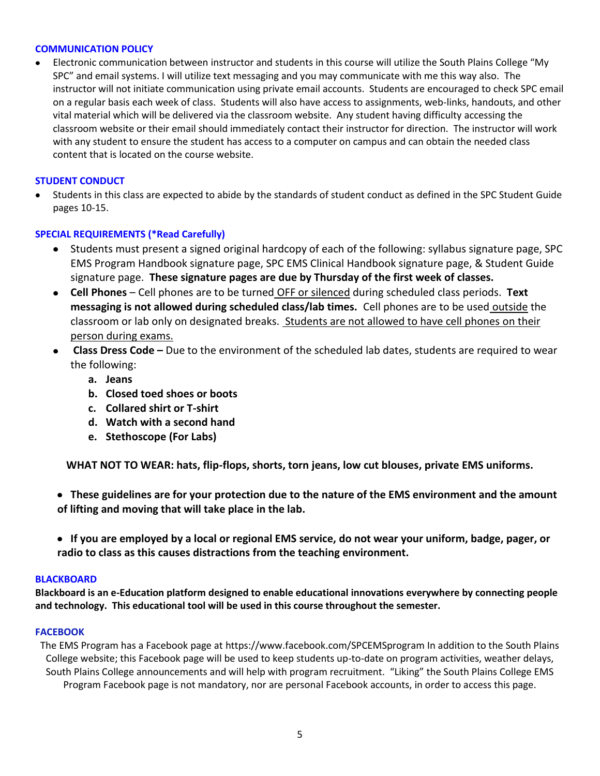#### **COMMUNICATION POLICY**

Electronic communication between instructor and students in this course will utilize the South Plains College "My SPC" and email systems. I will utilize text messaging and you may communicate with me this way also. The instructor will not initiate communication using private email accounts. Students are encouraged to check SPC email on a regular basis each week of class. Students will also have access to assignments, web-links, handouts, and other vital material which will be delivered via the classroom website. Any student having difficulty accessing the classroom website or their email should immediately contact their instructor for direction. The instructor will work with any student to ensure the student has access to a computer on campus and can obtain the needed class content that is located on the course website.

#### **STUDENT CONDUCT**

Students in this class are expected to abide by the standards of student conduct as defined in the SPC Student Guide pages 10-15.

#### **SPECIAL REQUIREMENTS (\*Read Carefully)**

- Students must present a signed original hardcopy of each of the following: syllabus signature page, SPC  $\bullet$ EMS Program Handbook signature page, SPC EMS Clinical Handbook signature page, & Student Guide signature page. **These signature pages are due by Thursday of the first week of classes.**
- **Cell Phones** Cell phones are to be turned OFF or silenced during scheduled class periods. **Text messaging is not allowed during scheduled class/lab times.** Cell phones are to be used outside the classroom or lab only on designated breaks. Students are not allowed to have cell phones on their person during exams.
- **Class Dress Code –** Due to the environment of the scheduled lab dates, students are required to wear  $\bullet$ the following:
	- **a. Jeans**
	- **b. Closed toed shoes or boots**
	- **c. Collared shirt or T-shirt**
	- **d. Watch with a second hand**
	- **e. Stethoscope (For Labs)**

**WHAT NOT TO WEAR: hats, flip-flops, shorts, torn jeans, low cut blouses, private EMS uniforms.**

- **These guidelines are for your protection due to the nature of the EMS environment and the amount of lifting and moving that will take place in the lab.**
- **If you are employed by a local or regional EMS service, do not wear your uniform, badge, pager, or radio to class as this causes distractions from the teaching environment.**

#### **BLACKBOARD**

**Blackboard is an e-Education platform designed to enable educational innovations everywhere by connecting people and technology. This educational tool will be used in this course throughout the semester.** 

#### **FACEBOOK**

The EMS Program has a Facebook page at https://www.facebook.com/SPCEMSprogram In addition to the South Plains College website; this Facebook page will be used to keep students up-to-date on program activities, weather delays, South Plains College announcements and will help with program recruitment. "Liking" the South Plains College EMS Program Facebook page is not mandatory, nor are personal Facebook accounts, in order to access this page.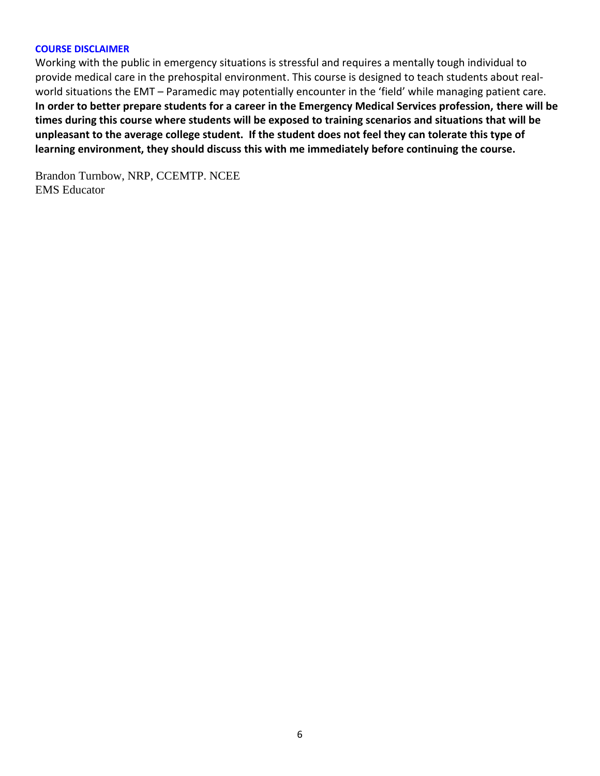#### **COURSE DISCLAIMER**

Working with the public in emergency situations is stressful and requires a mentally tough individual to provide medical care in the prehospital environment. This course is designed to teach students about realworld situations the EMT – Paramedic may potentially encounter in the 'field' while managing patient care. **In order to better prepare students for a career in the Emergency Medical Services profession, there will be times during this course where students will be exposed to training scenarios and situations that will be unpleasant to the average college student. If the student does not feel they can tolerate this type of learning environment, they should discuss this with me immediately before continuing the course.**

Brandon Turnbow, NRP, CCEMTP. NCEE EMS Educator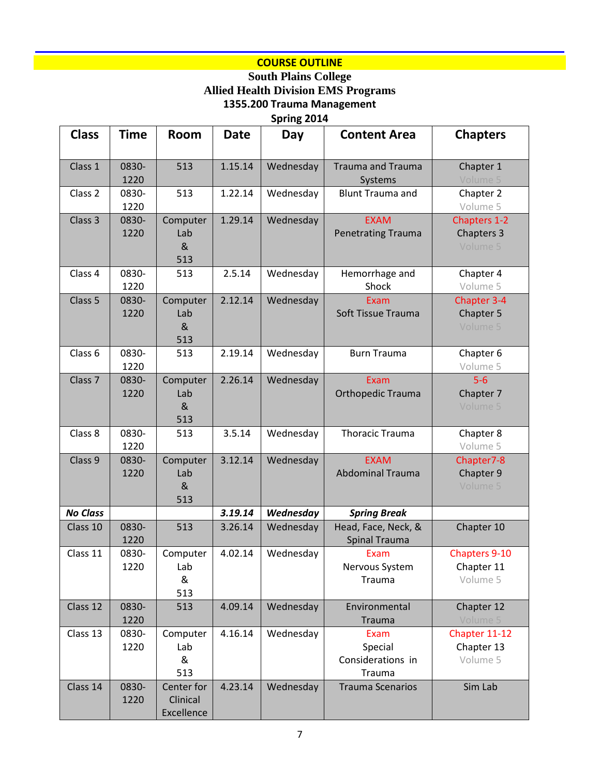# **COURSE OUTLINE**

## **South Plains College Allied Health Division EMS Programs 1355.200 Trauma Management**

**Spring 2014**

| <b>Class</b>       | <b>Time</b>   | <b>Room</b>                              | <b>Date</b> | Day       | <b>Content Area</b>                            | <b>Chapters</b>                                |
|--------------------|---------------|------------------------------------------|-------------|-----------|------------------------------------------------|------------------------------------------------|
| Class 1            | 0830-<br>1220 | 513                                      | 1.15.14     | Wednesday | <b>Trauma and Trauma</b><br>Systems            | Chapter 1<br>Volume 5                          |
| Class 2            | 0830-<br>1220 | 513                                      | 1.22.14     | Wednesday | <b>Blunt Trauma and</b>                        | Chapter 2<br>Volume 5                          |
| Class 3            | 0830-<br>1220 | Computer<br>Lab<br>8 <sub>k</sub><br>513 | 1.29.14     | Wednesday | <b>EXAM</b><br><b>Penetrating Trauma</b>       | Chapters 1-2<br>Chapters 3<br>Volume 5         |
| Class 4            | 0830-<br>1220 | 513                                      | 2.5.14      | Wednesday | Hemorrhage and<br>Shock                        | Chapter 4<br>Volume 5                          |
| Class 5            | 0830-<br>1220 | Computer<br>Lab<br>8 <sub>k</sub><br>513 | 2.12.14     | Wednesday | Exam<br>Soft Tissue Trauma                     | Chapter 3-4<br>Chapter 5<br>Volume 5           |
| Class 6            | 0830-<br>1220 | 513                                      | 2.19.14     | Wednesday | <b>Burn Trauma</b>                             | Chapter 6<br>Volume 5                          |
| Class <sub>7</sub> | 0830-<br>1220 | Computer<br>Lab<br>8 <sub>k</sub><br>513 | 2.26.14     | Wednesday | Exam<br>Orthopedic Trauma                      | $5-6$<br>Chapter 7<br>Volume 5                 |
| Class 8            | 0830-<br>1220 | 513                                      | 3.5.14      | Wednesday | <b>Thoracic Trauma</b>                         | Chapter 8<br>Volume 5                          |
| Class 9            | 0830-<br>1220 | Computer<br>Lab<br>8 <sub>k</sub><br>513 | 3.12.14     | Wednesday | <b>EXAM</b><br><b>Abdominal Trauma</b>         | Chapter7-8<br>Chapter 9<br>Volume 5            |
| <b>No Class</b>    |               |                                          | 3.19.14     | Wednesday | <b>Spring Break</b>                            |                                                |
| Class 10           | 0830-<br>1220 | 513                                      | 3.26.14     | Wednesday | Head, Face, Neck, &<br><b>Spinal Trauma</b>    | Chapter 10                                     |
| Class 11           | 0830-<br>1220 | Computer<br>Lab<br>&<br>513              | 4.02.14     | Wednesday | Exam<br>Nervous System<br>Trauma               | <b>Chapters 9-10</b><br>Chapter 11<br>Volume 5 |
| Class 12           | 0830-<br>1220 | 513                                      | 4.09.14     | Wednesday | Environmental<br>Trauma                        | Chapter 12<br>Volume 5                         |
| Class 13           | 0830-<br>1220 | Computer<br>Lab<br>&<br>513              | 4.16.14     | Wednesday | Exam<br>Special<br>Considerations in<br>Trauma | Chapter 11-12<br>Chapter 13<br>Volume 5        |
| Class 14           | 0830-<br>1220 | Center for<br>Clinical<br>Excellence     | 4.23.14     | Wednesday | <b>Trauma Scenarios</b>                        | Sim Lab                                        |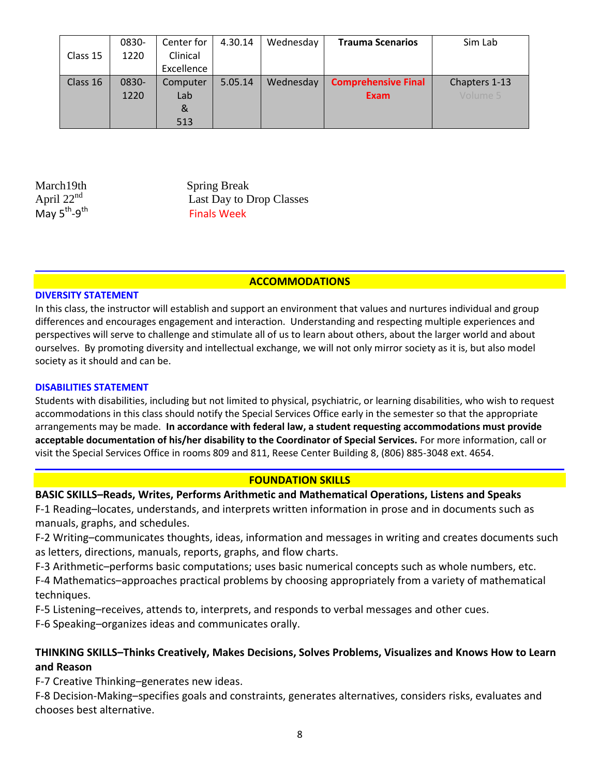|          | 0830- | Center for | 4.30.14 | Wednesday | <b>Trauma Scenarios</b>    | Sim Lab       |
|----------|-------|------------|---------|-----------|----------------------------|---------------|
| Class 15 | 1220  | Clinical   |         |           |                            |               |
|          |       | Excellence |         |           |                            |               |
| Class 16 | 0830- | Computer   | 5.05.14 | Wednesday | <b>Comprehensive Final</b> | Chapters 1-13 |
|          | 1220  | Lab        |         |           | <b>Exam</b>                | Volume 5      |
|          |       | &          |         |           |                            |               |
|          |       | 513        |         |           |                            |               |

April 22<sup>nd</sup> May 5<sup>th</sup>-9<sup>th</sup>

March19th Spring Break Last Day to Drop Classes Finals Week

## **ACCOMMODATIONS**

### **DIVERSITY STATEMENT**

In this class, the instructor will establish and support an environment that values and nurtures individual and group differences and encourages engagement and interaction. Understanding and respecting multiple experiences and perspectives will serve to challenge and stimulate all of us to learn about others, about the larger world and about ourselves. By promoting diversity and intellectual exchange, we will not only mirror society as it is, but also model society as it should and can be.

### **DISABILITIES STATEMENT**

Students with disabilities, including but not limited to physical, psychiatric, or learning disabilities, who wish to request accommodations in this class should notify the Special Services Office early in the semester so that the appropriate arrangements may be made. **In accordance with federal law, a student requesting accommodations must provide acceptable documentation of his/her disability to the Coordinator of Special Services.** For more information, call or visit the Special Services Office in rooms 809 and 811, Reese Center Building 8, (806) 885-3048 ext. 4654.

## **FOUNDATION SKILLS**

## **BASIC SKILLS–Reads, Writes, Performs Arithmetic and Mathematical Operations, Listens and Speaks**

F-1 Reading–locates, understands, and interprets written information in prose and in documents such as manuals, graphs, and schedules.

F-2 Writing–communicates thoughts, ideas, information and messages in writing and creates documents such as letters, directions, manuals, reports, graphs, and flow charts.

F-3 Arithmetic–performs basic computations; uses basic numerical concepts such as whole numbers, etc.

F-4 Mathematics–approaches practical problems by choosing appropriately from a variety of mathematical techniques.

F-5 Listening–receives, attends to, interprets, and responds to verbal messages and other cues.

F-6 Speaking–organizes ideas and communicates orally.

## **THINKING SKILLS–Thinks Creatively, Makes Decisions, Solves Problems, Visualizes and Knows How to Learn and Reason**

F-7 Creative Thinking–generates new ideas.

F-8 Decision-Making–specifies goals and constraints, generates alternatives, considers risks, evaluates and chooses best alternative.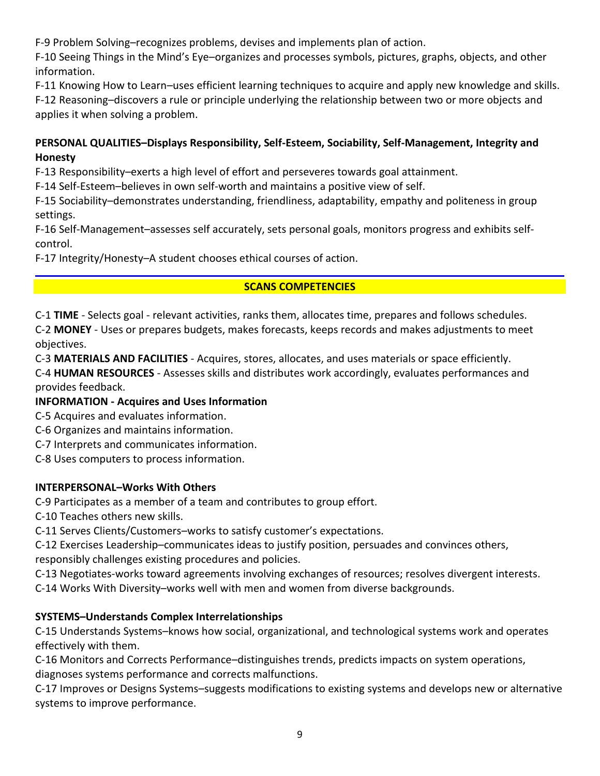F-9 Problem Solving–recognizes problems, devises and implements plan of action.

F-10 Seeing Things in the Mind's Eye–organizes and processes symbols, pictures, graphs, objects, and other information.

F-11 Knowing How to Learn–uses efficient learning techniques to acquire and apply new knowledge and skills. F-12 Reasoning–discovers a rule or principle underlying the relationship between two or more objects and applies it when solving a problem.

# **PERSONAL QUALITIES–Displays Responsibility, Self-Esteem, Sociability, Self-Management, Integrity and Honesty**

F-13 Responsibility–exerts a high level of effort and perseveres towards goal attainment.

F-14 Self-Esteem–believes in own self-worth and maintains a positive view of self.

F-15 Sociability–demonstrates understanding, friendliness, adaptability, empathy and politeness in group settings.

F-16 Self-Management–assesses self accurately, sets personal goals, monitors progress and exhibits selfcontrol.

F-17 Integrity/Honesty–A student chooses ethical courses of action.

# **SCANS COMPETENCIES**

C-1 **TIME** - Selects goal - relevant activities, ranks them, allocates time, prepares and follows schedules.

C-2 **MONEY** - Uses or prepares budgets, makes forecasts, keeps records and makes adjustments to meet objectives.

C-3 **MATERIALS AND FACILITIES** - Acquires, stores, allocates, and uses materials or space efficiently.

C-4 **HUMAN RESOURCES** - Assesses skills and distributes work accordingly, evaluates performances and provides feedback.

# **INFORMATION - Acquires and Uses Information**

- C-5 Acquires and evaluates information.
- C-6 Organizes and maintains information.
- C-7 Interprets and communicates information.
- C-8 Uses computers to process information.

# **INTERPERSONAL–Works With Others**

C-9 Participates as a member of a team and contributes to group effort.

C-10 Teaches others new skills.

C-11 Serves Clients/Customers–works to satisfy customer's expectations.

C-12 Exercises Leadership–communicates ideas to justify position, persuades and convinces others, responsibly challenges existing procedures and policies.

C-13 Negotiates-works toward agreements involving exchanges of resources; resolves divergent interests.

C-14 Works With Diversity–works well with men and women from diverse backgrounds.

# **SYSTEMS–Understands Complex Interrelationships**

C-15 Understands Systems–knows how social, organizational, and technological systems work and operates effectively with them.

C-16 Monitors and Corrects Performance–distinguishes trends, predicts impacts on system operations, diagnoses systems performance and corrects malfunctions.

C-17 Improves or Designs Systems–suggests modifications to existing systems and develops new or alternative systems to improve performance.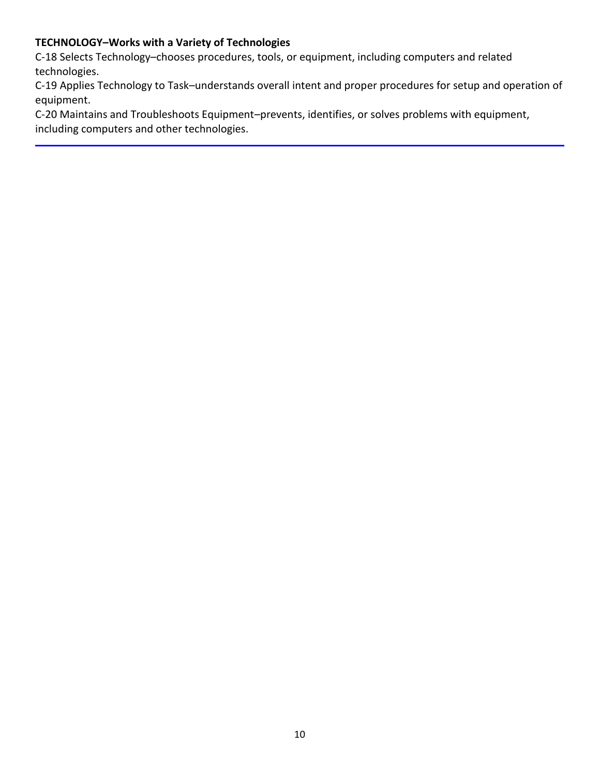# **TECHNOLOGY–Works with a Variety of Technologies**

C-18 Selects Technology–chooses procedures, tools, or equipment, including computers and related technologies.

C-19 Applies Technology to Task–understands overall intent and proper procedures for setup and operation of equipment.

C-20 Maintains and Troubleshoots Equipment–prevents, identifies, or solves problems with equipment, including computers and other technologies.